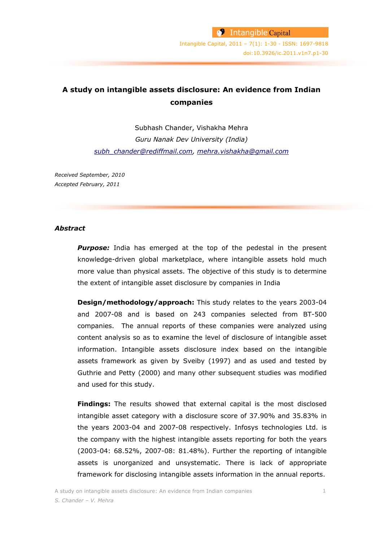# **A study on intangible assets disclosure: An evidence from Indian companies**

Subhash Chander, Vishakha Mehra *Guru Nanak Dev University (India) [subh\\_chander@rediffmail.com,](file:///C:/Users/Irene/Downloads/subh_chander@rediffmail.com) [mehra.vishakha@gmail.com](file:///C:/Users/Irene/Downloads/mehra.vishakha@gmail.com)*

*Received September, 2010 Accepted February, 2011*

### *Abstract*

**Purpose:** India has emerged at the top of the pedestal in the present knowledge-driven global marketplace, where intangible assets hold much more value than physical assets. The objective of this study is to determine the extent of intangible asset disclosure by companies in India

**Design/methodology/approach:** This study relates to the years 2003-04 and 2007-08 and is based on 243 companies selected from BT-500 companies. The annual reports of these companies were analyzed using content analysis so as to examine the level of disclosure of intangible asset information. Intangible assets disclosure index based on the intangible assets framework as given by Sveiby (1997) and as used and tested by Guthrie and Petty (2000) and many other subsequent studies was modified and used for this study.

**Findings:** The results showed that external capital is the most disclosed intangible asset category with a disclosure score of 37.90% and 35.83% in the years 2003-04 and 2007-08 respectively. Infosys technologies Ltd. is the company with the highest intangible assets reporting for both the years (2003-04: 68.52%, 2007-08: 81.48%). Further the reporting of intangible assets is unorganized and unsystematic. There is lack of appropriate framework for disclosing intangible assets information in the annual reports.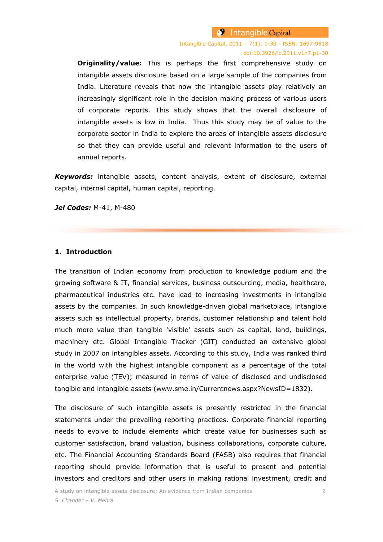Intangible Capital, 2011 – 7(1): 1-30 - ISSN: 1697-9818 doi:10.3926/ic.2011.v1n7.p1-30

**Originality/value:** This is perhaps the first comprehensive study on intangible assets disclosure based on a large sample of the companies from India. Literature reveals that now the intangible assets play relatively an increasingly significant role in the decision making process of various users of corporate reports. This study shows that the overall disclosure of intangible assets is low in India. Thus this study may be of value to the corporate sector in India to explore the areas of intangible assets disclosure so that they can provide useful and relevant information to the users of annual reports.

*Keywords:* intangible assets, content analysis, extent of disclosure, external capital, internal capital, human capital, reporting.

*Jel Codes:* M-41, M-480

### **1. Introduction**

The transition of Indian economy from production to knowledge podium and the growing software & IT, financial services, business outsourcing, media, healthcare, pharmaceutical industries etc. have lead to increasing investments in intangible assets by the companies. In such knowledge-driven global marketplace, intangible assets such as intellectual property, brands, customer relationship and talent hold much more value than tangible 'visible' assets such as capital, land, buildings, machinery etc. Global Intangible Tracker (GIT) conducted an extensive global study in 2007 on intangibles assets. According to this study, India was ranked third in the world with the highest intangible component as a percentage of the total enterprise value (TEV); measured in terms of value of disclosed and undisclosed tangible and intangible assets [\(www.sme.in/Currentnews.aspx?NewsID=1832\)](http://www.sme.in/Currentnews.aspx?NewsID=1832).

The disclosure of such intangible assets is presently restricted in the financial statements under the prevailing reporting practices. Corporate financial reporting needs to evolve to include elements which create value for businesses such as customer satisfaction, brand valuation, business collaborations, corporate culture, etc. The Financial Accounting Standards Board (FASB) also requires that financial reporting should provide information that is useful to present and potential investors and creditors and other users in making rational investment, credit and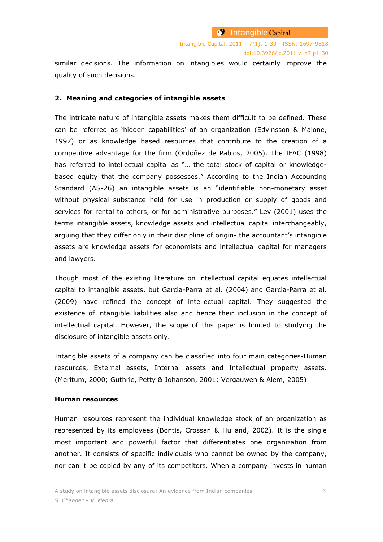similar decisions. The information on intangibles would certainly improve the quality of such decisions.

### **2. Meaning and categories of intangible assets**

The intricate nature of intangible assets makes them difficult to be defined. These can be referred as "hidden capabilities" of an organization (Edvinsson & Malone, 1997) or as knowledge based resources that contribute to the creation of a competitive advantage for the firm (Ordóñez de Pablos, 2005). The IFAC (1998) has referred to intellectual capital as "… the total stock of capital or knowledgebased equity that the company possesses." According to the Indian Accounting Standard (AS-26) an intangible assets is an "identifiable non-monetary asset without physical substance held for use in production or supply of goods and services for rental to others, or for administrative purposes." Lev (2001) uses the terms intangible assets, knowledge assets and intellectual capital interchangeably, arguing that they differ only in their discipline of origin- the accountant's intangible assets are knowledge assets for economists and intellectual capital for managers and lawyers.

Though most of the existing literature on intellectual capital equates intellectual capital to intangible assets, but Garcia-Parra et al. (2004) and Garcia-Parra et al. (2009) have refined the concept of intellectual capital. They suggested the existence of intangible liabilities also and hence their inclusion in the concept of intellectual capital. However, the scope of this paper is limited to studying the disclosure of intangible assets only.

Intangible assets of a company can be classified into four main categories-Human resources, External assets, Internal assets and Intellectual property assets. (Meritum, 2000; Guthrie, Petty & Johanson, 2001; Vergauwen & Alem, 2005)

#### **Human resources**

Human resources represent the individual knowledge stock of an organization as represented by its employees (Bontis, Crossan & Hulland, 2002). It is the single most important and powerful factor that differentiates one organization from another. It consists of specific individuals who cannot be owned by the company, nor can it be copied by any of its competitors. When a company invests in human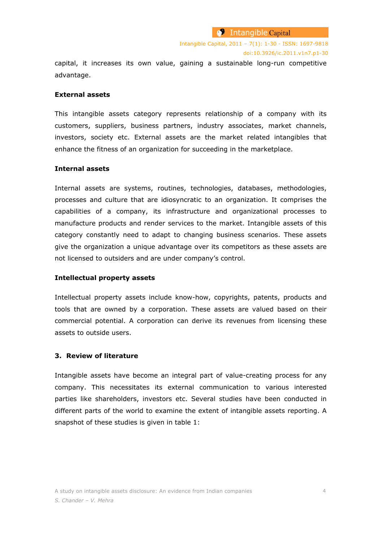capital, it increases its own value, gaining a sustainable long-run competitive advantage.

# **External assets**

This intangible assets category represents relationship of a company with its customers, suppliers, business partners, industry associates, market channels, investors, society etc. External assets are the market related intangibles that enhance the fitness of an organization for succeeding in the marketplace.

### **Internal assets**

Internal assets are systems, routines, technologies, databases, methodologies, processes and culture that are idiosyncratic to an organization. It comprises the capabilities of a company, its infrastructure and organizational processes to manufacture products and render services to the market. Intangible assets of this category constantly need to adapt to changing business scenarios. These assets give the organization a unique advantage over its competitors as these assets are not licensed to outsiders and are under company"s control.

#### **Intellectual property assets**

Intellectual property assets include know-how, copyrights, patents, products and tools that are owned by a corporation. These assets are valued based on their commercial potential. A corporation can derive its revenues from licensing these assets to outside users.

#### **3. Review of literature**

Intangible assets have become an integral part of value-creating process for any company. This necessitates its external communication to various interested parties like shareholders, investors etc. Several studies have been conducted in different parts of the world to examine the extent of intangible assets reporting. A snapshot of these studies is given in table 1: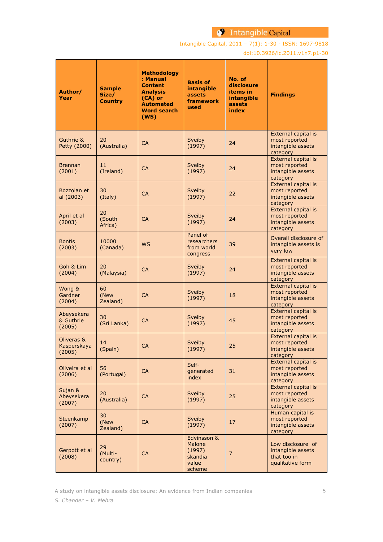Intangible Capital, 2011 – 7(1): 1-30 - ISSN: 1697-9818

doi:10.3926/ic.2011.v1n7.p1-30

| Author/<br>Year                     | <b>Sample</b><br>Size/<br><b>Country</b> | <b>Methodology</b><br>: Manual<br><b>Content</b><br><b>Analysis</b><br>(CA) or<br><b>Automated</b><br><b>Word search</b><br>(WS) | <b>Basis of</b><br>intangible<br>assets<br>framework<br>used  | No. of<br>disclosure<br>items in<br>intangible<br>assets<br>index | <b>Findings</b>                                                           |
|-------------------------------------|------------------------------------------|----------------------------------------------------------------------------------------------------------------------------------|---------------------------------------------------------------|-------------------------------------------------------------------|---------------------------------------------------------------------------|
| Guthrie &<br>Petty (2000)           | 20<br>(Australia)                        | <b>CA</b>                                                                                                                        | Sveiby<br>(1997)                                              | 24                                                                | External capital is<br>most reported<br>intangible assets<br>category     |
| <b>Brennan</b><br>(2001)            | 11<br>(Ireland)                          | <b>CA</b>                                                                                                                        | Sveiby<br>(1997)                                              | 24                                                                | External capital is<br>most reported<br>intangible assets<br>category     |
| Bozzolan et<br>al (2003)            | 30<br>(Italy)                            | <b>CA</b>                                                                                                                        | Sveiby<br>(1997)                                              | 22                                                                | External capital is<br>most reported<br>intangible assets<br>category     |
| April et al<br>(2003)               | 20<br>(South<br>Africa)                  | <b>CA</b>                                                                                                                        | Sveiby<br>(1997)                                              | 24                                                                | External capital is<br>most reported<br>intangible assets<br>category     |
| <b>Bontis</b><br>(2003)             | 10000<br>(Canada)                        | <b>WS</b>                                                                                                                        | Panel of<br>researchers<br>from world<br>congress             | 39                                                                | Overall disclosure of<br>intangible assets is<br>very low                 |
| Goh & Lim<br>(2004)                 | 20<br>(Malaysia)                         | <b>CA</b>                                                                                                                        | Sveiby<br>(1997)                                              | 24                                                                | External capital is<br>most reported<br>intangible assets<br>category     |
| Wong &<br>Gardner<br>(2004)         | 60<br>(New<br>Zealand)                   | <b>CA</b>                                                                                                                        | Sveiby<br>(1997)                                              | 18                                                                | External capital is<br>most reported<br>intangible assets<br>category     |
| Abeysekera<br>& Guthrie<br>(2005)   | 30<br>(Sri Lanka)                        | <b>CA</b>                                                                                                                        | Sveiby<br>(1997)                                              | 45                                                                | External capital is<br>most reported<br>intangible assets<br>category     |
| Oliveras &<br>Kasperskaya<br>(2005) | 14<br>(Spain)                            | <b>CA</b>                                                                                                                        | Sveiby<br>(1997)                                              | 25                                                                | External capital is<br>most reported<br>intangible assets<br>category     |
| Oliveira et al<br>(2006)            | 56<br>(Portugal)                         | <b>CA</b>                                                                                                                        | Self-<br>generated<br>index                                   | 31                                                                | External capital is<br>most reported<br>intangible assets<br>category     |
| Sujan &<br>Abeysekera<br>(2007)     | 20<br>(Australia)                        | <b>CA</b>                                                                                                                        | Sveiby<br>(1997)                                              | 25                                                                | External capital is<br>most reported<br>intangible assets<br>category     |
| Steenkamp<br>(2007)                 | 30<br>(New<br>Zealand)                   | <b>CA</b>                                                                                                                        | Sveiby<br>(1997)                                              | 17                                                                | Human capital is<br>most reported<br>intangible assets<br>category        |
| Gerpott et al<br>(2008)             | 29<br>(Multi-<br>country)                | <b>CA</b>                                                                                                                        | Edvinsson &<br>Malone<br>(1997)<br>skandia<br>value<br>scheme | $\overline{7}$                                                    | Low disclosure of<br>intangible assets<br>that too in<br>qualitative form |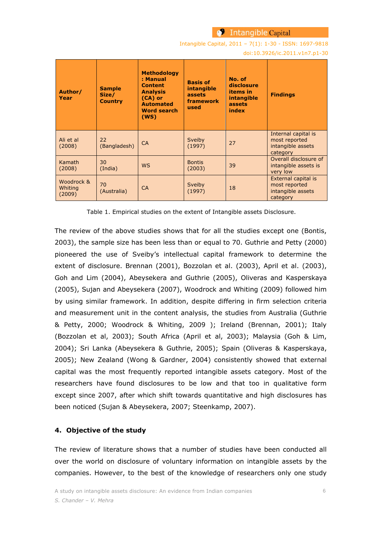Intangible Capital, 2011 – 7(1): 1-30 - ISSN: 1697-9818

doi:10.3926/ic.2011.v1n7.p1-30

| Author/<br>Year                 | <b>Sample</b><br>Size/<br><b>Country</b> | <b>Methodology</b><br>: Manual<br><b>Content</b><br><b>Analysis</b><br>$(CA)$ or<br><b>Automated</b><br><b>Word search</b><br>(WS) | <b>Basis of</b><br><b>intangible</b><br>assets<br>framework<br>used | No. of<br>disclosure<br>items in<br>intangible<br>assets<br>index | <b>Findings</b>                                                       |
|---------------------------------|------------------------------------------|------------------------------------------------------------------------------------------------------------------------------------|---------------------------------------------------------------------|-------------------------------------------------------------------|-----------------------------------------------------------------------|
| Ali et al<br>(2008)             | 22<br>(Bangladesh)                       | <b>CA</b>                                                                                                                          | Sveiby<br>(1997)                                                    | 27                                                                | Internal capital is<br>most reported<br>intangible assets<br>category |
| Kamath<br>(2008)                | 30<br>(India)                            | <b>WS</b>                                                                                                                          | <b>Bontis</b><br>(2003)                                             | 39                                                                | Overall disclosure of<br>intangible assets is<br>very low             |
| Woodrock &<br>Whiting<br>(2009) | 70<br>(Australia)                        | <b>CA</b>                                                                                                                          | Sveiby<br>(1997)                                                    | 18                                                                | External capital is<br>most reported<br>intangible assets<br>category |

Table 1. Empirical studies on the extent of Intangible assets Disclosure.

The review of the above studies shows that for all the studies except one (Bontis, 2003), the sample size has been less than or equal to 70. Guthrie and Petty (2000) pioneered the use of Sveiby"s intellectual capital framework to determine the extent of disclosure. Brennan (2001), Bozzolan et al. (2003), April et al. (2003), Goh and Lim (2004), Abeysekera and Guthrie (2005), Oliveras and Kasperskaya (2005), Sujan and Abeysekera (2007), Woodrock and Whiting (2009) followed him by using similar framework. In addition, despite differing in firm selection criteria and measurement unit in the content analysis, the studies from Australia (Guthrie & Petty, 2000; Woodrock & Whiting, 2009 ); Ireland (Brennan, 2001); Italy (Bozzolan et al, 2003); South Africa (April et al, 2003); Malaysia (Goh & Lim, 2004); Sri Lanka (Abeysekera & Guthrie, 2005); Spain (Oliveras & Kasperskaya, 2005); New Zealand (Wong & Gardner, 2004) consistently showed that external capital was the most frequently reported intangible assets category. Most of the researchers have found disclosures to be low and that too in qualitative form except since 2007, after which shift towards quantitative and high disclosures has been noticed (Sujan & Abeysekera, 2007; Steenkamp, 2007).

# **4. Objective of the study**

The review of literature shows that a number of studies have been conducted all over the world on disclosure of voluntary information on intangible assets by the companies. However, to the best of the knowledge of researchers only one study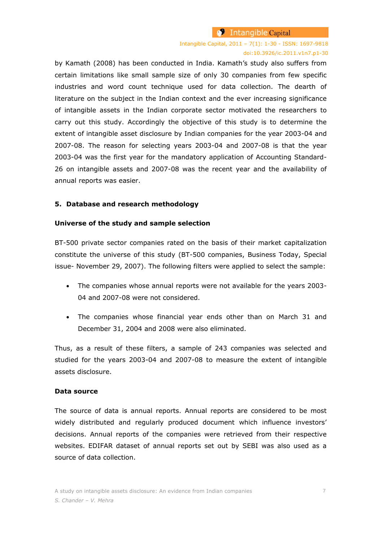Intangible Capital, 2011 – 7(1): 1-30 - ISSN: 1697-9818 doi:10.3926/ic.2011.v1n7.p1-30

by Kamath (2008) has been conducted in India. Kamath's study also suffers from certain limitations like small sample size of only 30 companies from few specific industries and word count technique used for data collection. The dearth of literature on the subject in the Indian context and the ever increasing significance of intangible assets in the Indian corporate sector motivated the researchers to carry out this study. Accordingly the objective of this study is to determine the extent of intangible asset disclosure by Indian companies for the year 2003-04 and 2007-08. The reason for selecting years 2003-04 and 2007-08 is that the year 2003-04 was the first year for the mandatory application of Accounting Standard-26 on intangible assets and 2007-08 was the recent year and the availability of annual reports was easier.

#### **5. Database and research methodology**

#### **Universe of the study and sample selection**

BT-500 private sector companies rated on the basis of their market capitalization constitute the universe of this study (BT-500 companies, Business Today, Special issue- November 29, 2007). The following filters were applied to select the sample:

- The companies whose annual reports were not available for the years 2003- 04 and 2007-08 were not considered.
- The companies whose financial year ends other than on March 31 and December 31, 2004 and 2008 were also eliminated.

Thus, as a result of these filters, a sample of 243 companies was selected and studied for the years 2003-04 and 2007-08 to measure the extent of intangible assets disclosure.

#### **Data source**

The source of data is annual reports. Annual reports are considered to be most widely distributed and regularly produced document which influence investors' decisions. Annual reports of the companies were retrieved from their respective websites. EDIFAR dataset of annual reports set out by SEBI was also used as a source of data collection.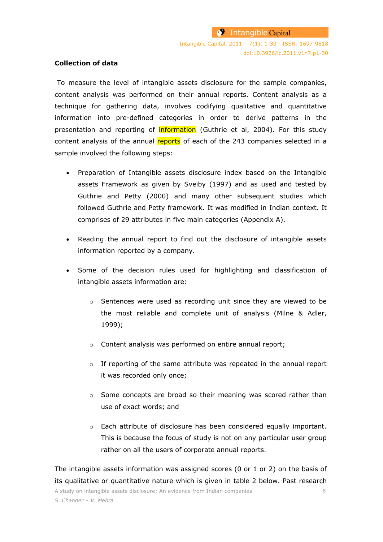#### **Collection of data**

To measure the level of intangible assets disclosure for the sample companies, content analysis was performed on their annual reports. Content analysis as a technique for gathering data, involves codifying qualitative and quantitative information into pre-defined categories in order to derive patterns in the presentation and reporting of *information* (Guthrie et al, 2004). For this study content analysis of the annual reports of each of the 243 companies selected in a sample involved the following steps:

- Preparation of Intangible assets disclosure index based on the Intangible assets Framework as given by Sveiby (1997) and as used and tested by Guthrie and Petty (2000) and many other subsequent studies which followed Guthrie and Petty framework. It was modified in Indian context. It comprises of 29 attributes in five main categories (Appendix A).
- Reading the annual report to find out the disclosure of intangible assets information reported by a company.
- Some of the decision rules used for highlighting and classification of intangible assets information are:
	- o Sentences were used as recording unit since they are viewed to be the most reliable and complete unit of analysis (Milne & Adler, 1999);
	- o Content analysis was performed on entire annual report;
	- o If reporting of the same attribute was repeated in the annual report it was recorded only once;
	- o Some concepts are broad so their meaning was scored rather than use of exact words; and
	- o Each attribute of disclosure has been considered equally important. This is because the focus of study is not on any particular user group rather on all the users of corporate annual reports.

A study on intangible assets disclosure: An evidence from Indian companies 8 The intangible assets information was assigned scores (0 or 1 or 2) on the basis of its qualitative or quantitative nature which is given in table 2 below. Past research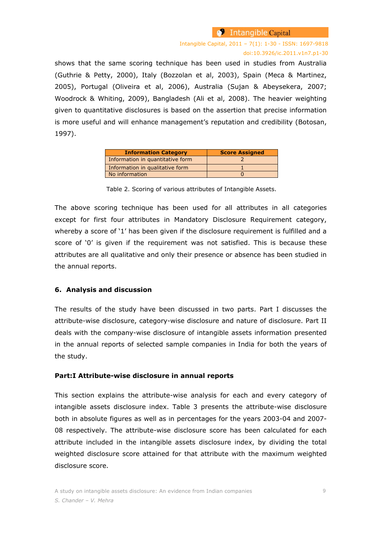### Intangible Capital, 2011 – 7(1): 1-30 - ISSN: 1697-9818 doi:10.3926/ic.2011.v1n7.p1-30

shows that the same scoring technique has been used in studies from Australia (Guthrie & Petty, 2000), Italy (Bozzolan et al, 2003), Spain (Meca & Martinez, 2005), Portugal (Oliveira et al, 2006), Australia (Sujan & Abeysekera, 2007; Woodrock & Whiting, 2009), Bangladesh (Ali et al, 2008). The heavier weighting given to quantitative disclosures is based on the assertion that precise information is more useful and will enhance management's reputation and credibility (Botosan, 1997).

| <b>Information Category</b>      | <b>Score Assigned</b> |
|----------------------------------|-----------------------|
| Information in quantitative form |                       |
| Information in qualitative form  |                       |
| No information                   |                       |

Table 2. Scoring of various attributes of Intangible Assets.

The above scoring technique has been used for all attributes in all categories except for first four attributes in Mandatory Disclosure Requirement category, whereby a score of '1' has been given if the disclosure requirement is fulfilled and a score of '0' is given if the requirement was not satisfied. This is because these attributes are all qualitative and only their presence or absence has been studied in the annual reports.

#### **6. Analysis and discussion**

The results of the study have been discussed in two parts. Part I discusses the attribute-wise disclosure, category-wise disclosure and nature of disclosure. Part II deals with the company-wise disclosure of intangible assets information presented in the annual reports of selected sample companies in India for both the years of the study.

#### **Part:I Attribute-wise disclosure in annual reports**

This section explains the attribute-wise analysis for each and every category of intangible assets disclosure index. Table 3 presents the attribute-wise disclosure both in absolute figures as well as in percentages for the years 2003-04 and 2007- 08 respectively. The attribute-wise disclosure score has been calculated for each attribute included in the intangible assets disclosure index, by dividing the total weighted disclosure score attained for that attribute with the maximum weighted disclosure score.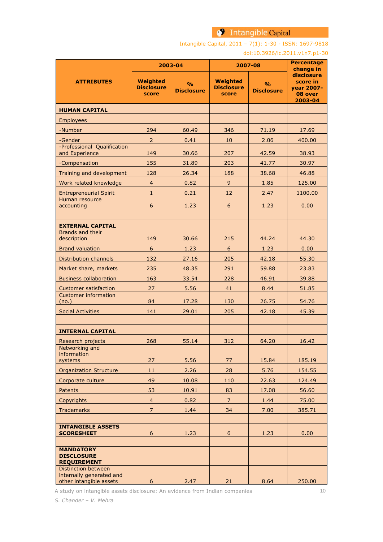Intangible Capital, 2011 – 7(1): 1-30 - ISSN: 1697-9818

#### doi:10.3926/ic.2011.v1n7.p1-30

|                                                             |                                               | 2003-04                            | 2007-08                                       | <b>Percentage</b><br>change in     |                                                            |
|-------------------------------------------------------------|-----------------------------------------------|------------------------------------|-----------------------------------------------|------------------------------------|------------------------------------------------------------|
| <b>ATTRIBUTES</b>                                           | <b>Weighted</b><br><b>Disclosure</b><br>score | $\frac{0}{0}$<br><b>Disclosure</b> | <b>Weighted</b><br><b>Disclosure</b><br>score | $\frac{9}{0}$<br><b>Disclosure</b> | disclosure<br>score in<br>year 2007-<br>08 over<br>2003-04 |
| <b>HUMAN CAPITAL</b>                                        |                                               |                                    |                                               |                                    |                                                            |
| <b>Employees</b>                                            |                                               |                                    |                                               |                                    |                                                            |
| -Number                                                     | 294                                           | 60.49                              | 346                                           | 71.19                              | 17.69                                                      |
| -Gender                                                     | $\overline{2}$                                | 0.41                               | 10                                            | 2.06                               | 400.00                                                     |
| -Professional Qualification<br>and Experience               | 149                                           | 30.66                              | 207                                           | 42.59                              | 38.93                                                      |
| -Compensation                                               | 155                                           | 31.89                              | 203                                           | 41.77                              | 30.97                                                      |
| Training and development                                    | 128                                           | 26.34                              | 188                                           | 38.68                              | 46.88                                                      |
| Work related knowledge                                      | $\overline{4}$                                | 0.82                               | $\overline{9}$                                | 1.85                               | 125.00                                                     |
| <b>Entrepreneurial Spirit</b>                               | $\mathbf 1$                                   | 0.21                               | 12                                            | 2.47                               | 1100.00                                                    |
| Human resource<br>accounting                                | 6                                             | 1.23                               | 6                                             | 1.23                               | 0.00                                                       |
| <b>EXTERNAL CAPITAL</b>                                     |                                               |                                    |                                               |                                    |                                                            |
| Brands and their                                            |                                               | 30.66                              | 215                                           | 44.24                              | 44.30                                                      |
| description                                                 | 149<br>$6\,$                                  |                                    | $\sqrt{6}$                                    |                                    |                                                            |
| <b>Brand valuation</b>                                      |                                               | 1.23                               |                                               | 1.23                               | 0.00                                                       |
| <b>Distribution channels</b>                                | 132                                           | 27.16                              | 205                                           | 42.18                              | 55.30                                                      |
| Market share, markets                                       | 235                                           | 48.35                              | 291                                           | 59.88                              | 23.83                                                      |
| <b>Business collaboration</b>                               | 163                                           | 33.54                              | 228                                           | 46.91                              | 39.88                                                      |
| <b>Customer satisfaction</b><br><b>Customer information</b> | 27                                            | 5.56                               | 41                                            | 8.44                               | 51.85                                                      |
| (no.)                                                       | 84                                            | 17.28                              | 130                                           | 26.75                              | 54.76                                                      |
| <b>Social Activities</b>                                    | 141                                           | 29.01                              | 205                                           | 42.18                              | 45.39                                                      |
| <b>INTERNAL CAPITAL</b>                                     |                                               |                                    |                                               |                                    |                                                            |
| Research projects                                           | 268                                           | 55.14                              | 312                                           | 64.20                              | 16.42                                                      |
| Networking and<br>information<br>systems                    | 27                                            | 5.56                               | 77                                            | 15.84                              | 185.19                                                     |
| <b>Organization Structure</b>                               | 11                                            | 2.26                               | 28                                            | 5.76                               | 154.55                                                     |
| Corporate culture                                           | 49                                            | 10.08                              | 110                                           | 22.63                              | 124.49                                                     |
| <b>Patents</b>                                              | 53                                            | 10.91                              | 83                                            | 17.08                              | 56.60                                                      |
| Copyrights                                                  | $\overline{4}$                                | 0.82                               | $\overline{7}$                                | 1.44                               | 75.00                                                      |
| <b>Trademarks</b>                                           | $\overline{7}$                                | 1.44                               | 34                                            | 7.00                               | 385.71                                                     |
|                                                             |                                               |                                    |                                               |                                    |                                                            |
| <b>INTANGIBLE ASSETS</b><br><b>SCORESHEET</b>               | 6                                             | 1.23                               | 6                                             | 1.23                               | 0.00                                                       |
|                                                             |                                               |                                    |                                               |                                    |                                                            |
| <b>MANDATORY</b><br><b>DISCLOSURE</b><br><b>REQUIREMENT</b> |                                               |                                    |                                               |                                    |                                                            |
| <b>Distinction between</b>                                  |                                               |                                    |                                               |                                    |                                                            |
| internally generated and<br>other intangible assets         | $6\overline{6}$                               | 2.47                               | 21                                            | 8.64                               | 250.00                                                     |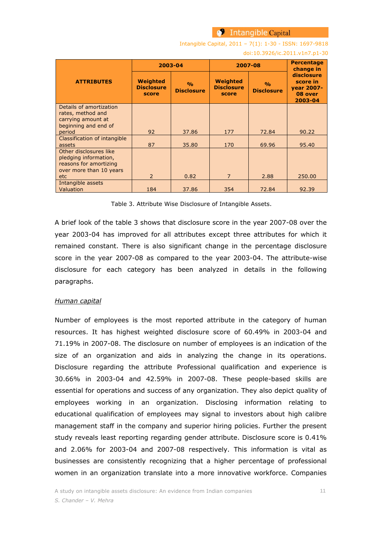Intangible Capital, 2011 – 7(1): 1-30 - ISSN: 1697-9818

#### doi:10.3926/ic.2011.v1n7.p1-30

|                                                                                                             | 2003-04                                       |                                    | 2007-08                                       | <b>Percentage</b><br>change in     |                                                            |
|-------------------------------------------------------------------------------------------------------------|-----------------------------------------------|------------------------------------|-----------------------------------------------|------------------------------------|------------------------------------------------------------|
| <b>ATTRIBUTES</b>                                                                                           | <b>Weighted</b><br><b>Disclosure</b><br>score | $\frac{0}{0}$<br><b>Disclosure</b> | <b>Weighted</b><br><b>Disclosure</b><br>score | $\frac{0}{0}$<br><b>Disclosure</b> | disclosure<br>score in<br>vear 2007-<br>08 over<br>2003-04 |
| Details of amortization<br>rates, method and<br>carrying amount at<br>beginning and end of                  |                                               |                                    |                                               |                                    |                                                            |
| period                                                                                                      | 92                                            | 37.86                              | 177                                           | 72.84                              | 90.22                                                      |
| Classification of intangible<br>assets                                                                      | 87                                            | 35.80                              | 170                                           | 69.96                              | 95.40                                                      |
| Other disclosures like<br>pledging information,<br>reasons for amortizing<br>over more than 10 years<br>etc | $\overline{2}$                                | 0.82                               | $\overline{7}$                                | 2.88                               | 250.00                                                     |
| Intangible assets<br>Valuation                                                                              | 184                                           | 37.86                              | 354                                           | 72.84                              | 92.39                                                      |

Table 3. Attribute Wise Disclosure of Intangible Assets.

A brief look of the table 3 shows that disclosure score in the year 2007-08 over the year 2003-04 has improved for all attributes except three attributes for which it remained constant. There is also significant change in the percentage disclosure score in the year 2007-08 as compared to the year 2003-04. The attribute-wise disclosure for each category has been analyzed in details in the following paragraphs.

#### *Human capital*

Number of employees is the most reported attribute in the category of human resources. It has highest weighted disclosure score of 60.49% in 2003-04 and 71.19% in 2007-08. The disclosure on number of employees is an indication of the size of an organization and aids in analyzing the change in its operations. Disclosure regarding the attribute Professional qualification and experience is 30.66% in 2003-04 and 42.59% in 2007-08. These people-based skills are essential for operations and success of any organization. They also depict quality of employees working in an organization. Disclosing information relating to educational qualification of employees may signal to investors about high calibre management staff in the company and superior hiring policies. Further the present study reveals least reporting regarding gender attribute. Disclosure score is 0.41% and 2.06% for 2003-04 and 2007-08 respectively. This information is vital as businesses are consistently recognizing that a higher percentage of professional women in an organization translate into a more innovative workforce. Companies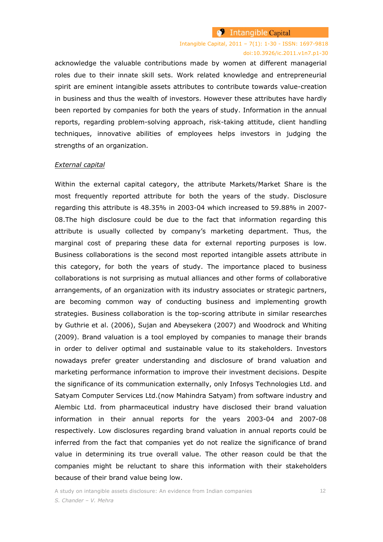# Intangible Capital, 2011 – 7(1): 1-30 - ISSN: 1697-9818 doi:10.3926/ic.2011.v1n7.p1-30

acknowledge the valuable contributions made by women at different managerial roles due to their innate skill sets. Work related knowledge and entrepreneurial spirit are eminent intangible assets attributes to contribute towards value-creation in business and thus the wealth of investors. However these attributes have hardly been reported by companies for both the years of study. Information in the annual reports, regarding problem-solving approach, risk-taking attitude, client handling techniques, innovative abilities of employees helps investors in judging the strengths of an organization.

#### *External capital*

Within the external capital category, the attribute Markets/Market Share is the most frequently reported attribute for both the years of the study. Disclosure regarding this attribute is 48.35% in 2003-04 which increased to 59.88% in 2007- 08.The high disclosure could be due to the fact that information regarding this attribute is usually collected by company"s marketing department. Thus, the marginal cost of preparing these data for external reporting purposes is low. Business collaborations is the second most reported intangible assets attribute in this category, for both the years of study. The importance placed to business collaborations is not surprising as mutual alliances and other forms of collaborative arrangements, of an organization with its industry associates or strategic partners, are becoming common way of conducting business and implementing growth strategies. Business collaboration is the top-scoring attribute in similar researches by Guthrie et al. (2006), Sujan and Abeysekera (2007) and Woodrock and Whiting (2009). Brand valuation is a tool employed by companies to manage their brands in order to deliver optimal and sustainable value to its stakeholders. Investors nowadays prefer greater understanding and disclosure of brand valuation and marketing performance information to improve their investment decisions. Despite the significance of its communication externally, only Infosys Technologies Ltd. and Satyam Computer Services Ltd.(now Mahindra Satyam) from software industry and Alembic Ltd. from pharmaceutical industry have disclosed their brand valuation information in their annual reports for the years 2003-04 and 2007-08 respectively. Low disclosures regarding brand valuation in annual reports could be inferred from the fact that companies yet do not realize the significance of brand value in determining its true overall value. The other reason could be that the companies might be reluctant to share this information with their stakeholders because of their brand value being low.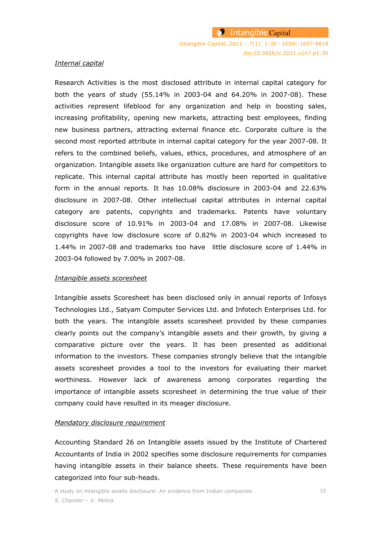#### *Internal capital*

Research Activities is the most disclosed attribute in internal capital category for both the years of study (55.14% in 2003-04 and 64.20% in 2007-08). These activities represent lifeblood for any organization and help in boosting sales, increasing profitability, opening new markets, attracting best employees, finding new business partners, attracting external finance etc. Corporate culture is the second most reported attribute in internal capital category for the year 2007-08. It refers to the combined beliefs, values, ethics, procedures, and atmosphere of an organization. Intangible assets like organization culture are hard for competitors to replicate. This internal capital attribute has mostly been reported in qualitative form in the annual reports. It has 10.08% disclosure in 2003-04 and 22.63% disclosure in 2007-08. Other intellectual capital attributes in internal capital category are patents, copyrights and trademarks. Patents have voluntary disclosure score of 10.91% in 2003-04 and 17.08% in 2007-08. Likewise copyrights have low disclosure score of 0.82% in 2003-04 which increased to 1.44% in 2007-08 and trademarks too have little disclosure score of 1.44% in 2003-04 followed by 7.00% in 2007-08.

#### *Intangible assets scoresheet*

Intangible assets Scoresheet has been disclosed only in annual reports of Infosys Technologies Ltd., Satyam Computer Services Ltd. and Infotech Enterprises Ltd. for both the years. The intangible assets scoresheet provided by these companies clearly points out the company's intangible assets and their growth, by giving a comparative picture over the years. It has been presented as additional information to the investors. These companies strongly believe that the intangible assets scoresheet provides a tool to the investors for evaluating their market worthiness. However lack of awareness among corporates regarding the importance of intangible assets scoresheet in determining the true value of their company could have resulted in its meager disclosure.

#### *Mandatory disclosure requirement*

Accounting Standard 26 on Intangible assets issued by the Institute of Chartered Accountants of India in 2002 specifies some disclosure requirements for companies having intangible assets in their balance sheets. These requirements have been categorized into four sub-heads.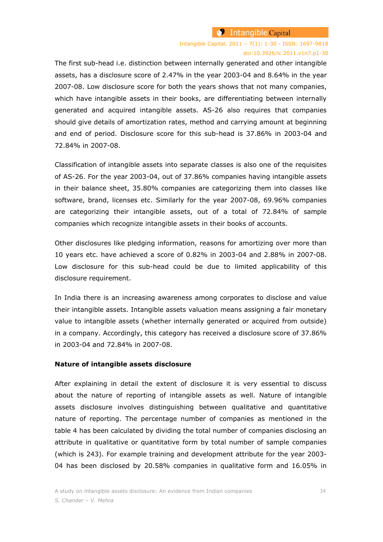# Intangible Capital, 2011 – 7(1): 1-30 - ISSN: 1697-9818 doi:10.3926/ic.2011.v1n7.p1-30

The first sub-head i.e. distinction between internally generated and other intangible assets, has a disclosure score of 2.47% in the year 2003-04 and 8.64% in the year 2007-08. Low disclosure score for both the years shows that not many companies, which have intangible assets in their books, are differentiating between internally generated and acquired intangible assets. AS-26 also requires that companies should give details of amortization rates, method and carrying amount at beginning and end of period. Disclosure score for this sub-head is 37.86% in 2003-04 and 72.84% in 2007-08.

Classification of intangible assets into separate classes is also one of the requisites of AS-26. For the year 2003-04, out of 37.86% companies having intangible assets in their balance sheet, 35.80% companies are categorizing them into classes like software, brand, licenses etc. Similarly for the year 2007-08, 69.96% companies are categorizing their intangible assets, out of a total of 72.84% of sample companies which recognize intangible assets in their books of accounts.

Other disclosures like pledging information, reasons for amortizing over more than 10 years etc. have achieved a score of 0.82% in 2003-04 and 2.88% in 2007-08. Low disclosure for this sub-head could be due to limited applicability of this disclosure requirement.

In India there is an increasing awareness among corporates to disclose and value their intangible assets. Intangible assets valuation means assigning a fair monetary value to intangible assets (whether internally generated or acquired from outside) in a company. Accordingly, this category has received a disclosure score of 37.86% in 2003-04 and 72.84% in 2007-08.

### **Nature of intangible assets disclosure**

After explaining in detail the extent of disclosure it is very essential to discuss about the nature of reporting of intangible assets as well. Nature of intangible assets disclosure involves distinguishing between qualitative and quantitative nature of reporting. The percentage number of companies as mentioned in the table 4 has been calculated by dividing the total number of companies disclosing an attribute in qualitative or quantitative form by total number of sample companies (which is 243). For example training and development attribute for the year 2003- 04 has been disclosed by 20.58% companies in qualitative form and 16.05% in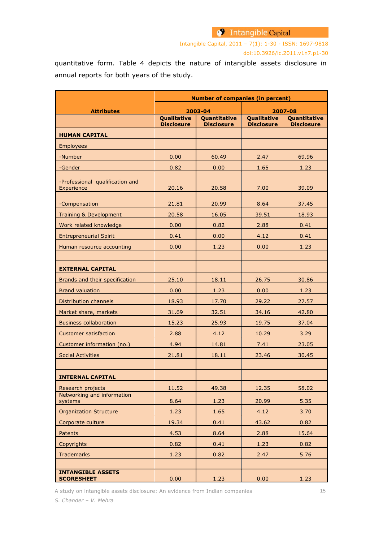Intangible Capital, 2011 – 7(1): 1-30 - ISSN: 1697-9818 doi:10.3926/ic.2011.v1n7.p1-30

quantitative form. Table 4 depicts the nature of intangible assets disclosure in annual reports for both years of the study.

|                                               | <b>Number of companies (in percent)</b> |                                   |                   |                                   |  |  |  |
|-----------------------------------------------|-----------------------------------------|-----------------------------------|-------------------|-----------------------------------|--|--|--|
| <b>Attributes</b>                             |                                         | 2003-04                           |                   | 2007-08                           |  |  |  |
|                                               | Qualitative<br><b>Disclosure</b>        | Quantitative<br><b>Disclosure</b> |                   | Quantitative<br><b>Disclosure</b> |  |  |  |
| <b>HUMAN CAPITAL</b>                          |                                         |                                   | <b>Disclosure</b> |                                   |  |  |  |
| Employees                                     |                                         |                                   |                   |                                   |  |  |  |
| -Number                                       | 0.00                                    | 60.49                             | 2.47              | 69.96                             |  |  |  |
| -Gender                                       | 0.82                                    | 0.00                              | 1.65              | 1.23                              |  |  |  |
| -Professional qualification and<br>Experience | 20.16                                   | 20.58                             | 7.00              | 39.09                             |  |  |  |
| -Compensation                                 | 21.81                                   | 20.99                             | 8.64              | 37.45                             |  |  |  |
| Training & Development                        | 20.58                                   | 16.05                             | 39.51             | 18.93                             |  |  |  |
| Work related knowledge                        | 0.00                                    | 0.82                              | 2.88              | 0.41                              |  |  |  |
| <b>Entrepreneurial Spirit</b>                 | 0.41                                    | 0.00                              | 4.12              | 0.41                              |  |  |  |
| Human resource accounting                     | 0.00                                    | 1.23                              | 0.00              | 1.23                              |  |  |  |
|                                               |                                         |                                   |                   |                                   |  |  |  |
| <b>EXTERNAL CAPITAL</b>                       |                                         |                                   |                   |                                   |  |  |  |
| Brands and their specification                | 25.10                                   | 18.11                             | 26.75             | 30.86                             |  |  |  |
| <b>Brand valuation</b>                        | 0.00                                    | 1.23                              | 0.00              | 1.23                              |  |  |  |
| Distribution channels                         | 18.93                                   | 17.70                             | 29.22             | 27.57                             |  |  |  |
| Market share, markets                         | 31.69                                   | 32.51                             | 34.16             | 42.80                             |  |  |  |
| <b>Business collaboration</b>                 | 15.23                                   | 25.93                             | 19.75             | 37.04                             |  |  |  |
| <b>Customer satisfaction</b>                  | 2.88                                    | 4.12                              | 10.29             | 3.29                              |  |  |  |
| Customer information (no.)                    | 4.94                                    | 14.81                             | 7.41              | 23.05                             |  |  |  |
| <b>Social Activities</b>                      | 21.81                                   | 18.11                             | 23.46             | 30.45                             |  |  |  |
|                                               |                                         |                                   |                   |                                   |  |  |  |
| <b>INTERNAL CAPITAL</b>                       |                                         |                                   |                   |                                   |  |  |  |
| Research projects                             | 11.52                                   | 49.38                             | 12.35             | 58.02                             |  |  |  |
| Networking and information<br>systems         | 8.64                                    | 1.23                              | 20.99             | 5.35                              |  |  |  |
| <b>Organization Structure</b>                 | 1.23                                    | 1.65                              | 4.12              | 3.70                              |  |  |  |
| Corporate culture                             | 19.34                                   | 0.41                              | 43.62             | 0.82                              |  |  |  |
| Patents                                       | 4.53                                    | 8.64                              | 2.88              | 15.64                             |  |  |  |
| Copyrights                                    | 0.82                                    | 0.41                              | 1.23              | 0.82                              |  |  |  |
| <b>Trademarks</b>                             | 1.23                                    | 0.82                              | 2.47              | 5.76                              |  |  |  |
|                                               |                                         |                                   |                   |                                   |  |  |  |
| <b>INTANGIBLE ASSETS</b><br><b>SCORESHEET</b> | 0.00                                    | 1.23                              | 0.00              | 1.23                              |  |  |  |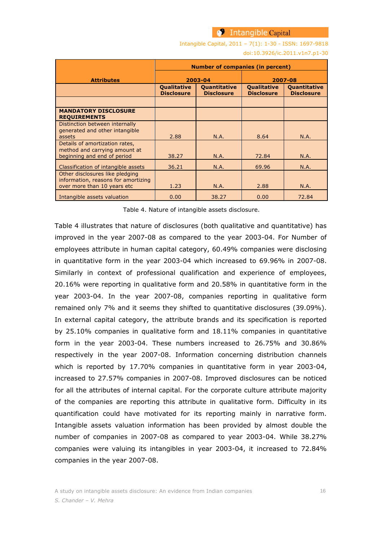Intangible Capital, 2011 – 7(1): 1-30 - ISSN: 1697-9818

doi:10.3926/ic.2011.v1n7.p1-30

|                                                                    | <b>Number of companies (in percent)</b>                                             |         |                                         |                                          |  |
|--------------------------------------------------------------------|-------------------------------------------------------------------------------------|---------|-----------------------------------------|------------------------------------------|--|
| <b>Attributes</b>                                                  |                                                                                     | 2003-04 | 2007-08                                 |                                          |  |
|                                                                    | <b>Qualitative</b><br><b>Ouantitative</b><br><b>Disclosure</b><br><b>Disclosure</b> |         | <b>Oualitative</b><br><b>Disclosure</b> | <b>Ouantitative</b><br><b>Disclosure</b> |  |
|                                                                    |                                                                                     |         |                                         |                                          |  |
| <b>MANDATORY DISCLOSURE</b><br><b>REQUIREMENTS</b>                 |                                                                                     |         |                                         |                                          |  |
| Distinction between internally                                     |                                                                                     |         |                                         |                                          |  |
| generated and other intangible<br>assets                           | 2.88                                                                                | N.A.    | 8.64                                    | N.A.                                     |  |
| Details of amortization rates,<br>method and carrying amount at    |                                                                                     |         |                                         |                                          |  |
| beginning and end of period                                        | 38.27                                                                               | N.A.    | 72.84                                   | N.A.                                     |  |
| Classification of intangible assets                                | 36.21                                                                               | N.A.    | 69.96                                   | N.A.                                     |  |
| Other disclosures like pledging                                    |                                                                                     |         |                                         |                                          |  |
| information, reasons for amortizing<br>over more than 10 years etc | 1.23                                                                                | N.A.    | 2.88                                    | N.A.                                     |  |
| Intangible assets valuation                                        | 0.00                                                                                | 38.27   | 0.00                                    | 72.84                                    |  |

Table 4. Nature of intangible assets disclosure.

Table 4 illustrates that nature of disclosures (both qualitative and quantitative) has improved in the year 2007-08 as compared to the year 2003-04. For Number of employees attribute in human capital category, 60.49% companies were disclosing in quantitative form in the year 2003-04 which increased to 69.96% in 2007-08. Similarly in context of professional qualification and experience of employees, 20.16% were reporting in qualitative form and 20.58% in quantitative form in the year 2003-04. In the year 2007-08, companies reporting in qualitative form remained only 7% and it seems they shifted to quantitative disclosures (39.09%). In external capital category, the attribute brands and its specification is reported by 25.10% companies in qualitative form and 18.11% companies in quantitative form in the year 2003-04. These numbers increased to 26.75% and 30.86% respectively in the year 2007-08. Information concerning distribution channels which is reported by 17.70% companies in quantitative form in year 2003-04, increased to 27.57% companies in 2007-08. Improved disclosures can be noticed for all the attributes of internal capital. For the corporate culture attribute majority of the companies are reporting this attribute in qualitative form. Difficulty in its quantification could have motivated for its reporting mainly in narrative form. Intangible assets valuation information has been provided by almost double the number of companies in 2007-08 as compared to year 2003-04. While 38.27% companies were valuing its intangibles in year 2003-04, it increased to 72.84% companies in the year 2007-08.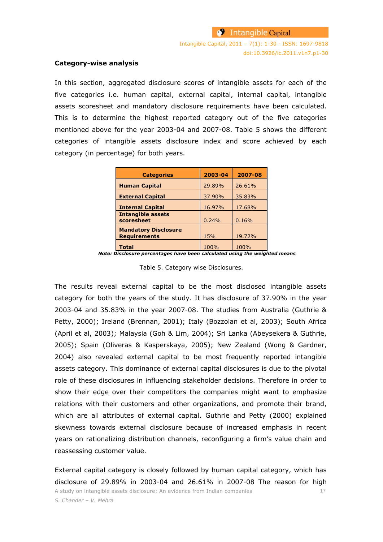#### **Category-wise analysis**

In this section, aggregated disclosure scores of intangible assets for each of the five categories i.e. human capital, external capital, internal capital, intangible assets scoresheet and mandatory disclosure requirements have been calculated. This is to determine the highest reported category out of the five categories mentioned above for the year 2003-04 and 2007-08. Table 5 shows the different categories of intangible assets disclosure index and score achieved by each category (in percentage) for both years.

| <b>Categories</b>                                  | 2003-04 | 2007-08 |
|----------------------------------------------------|---------|---------|
| <b>Human Capital</b>                               | 29.89%  | 26.61%  |
| <b>External Capital</b>                            | 37.90%  | 35.83%  |
| <b>Internal Capital</b>                            | 16.97%  | 17.68%  |
| <b>Intangible assets</b><br>scoresheet             | 0.24%   | 0.16%   |
| <b>Mandatory Disclosure</b><br><b>Requirements</b> | 15%     | 19.72%  |
| <b>Total</b>                                       | 100%    | 100%    |

*Note: Disclosure percentages have been calculated using the weighted means*

Table 5. Category wise Disclosures.

The results reveal external capital to be the most disclosed intangible assets category for both the years of the study. It has disclosure of 37.90% in the year 2003-04 and 35.83% in the year 2007-08. The studies from Australia (Guthrie & Petty, 2000); Ireland (Brennan, 2001); Italy (Bozzolan et al, 2003); South Africa (April et al, 2003); Malaysia (Goh & Lim, 2004); Sri Lanka (Abeysekera & Guthrie, 2005); Spain (Oliveras & Kasperskaya, 2005); New Zealand (Wong & Gardner, 2004) also revealed external capital to be most frequently reported intangible assets category. This dominance of external capital disclosures is due to the pivotal role of these disclosures in influencing stakeholder decisions. Therefore in order to show their edge over their competitors the companies might want to emphasize relations with their customers and other organizations, and promote their brand, which are all attributes of external capital. Guthrie and Petty (2000) explained skewness towards external disclosure because of increased emphasis in recent years on rationalizing distribution channels, reconfiguring a firm"s value chain and reassessing customer value.

A study on intangible assets disclosure: An evidence from Indian companies 17 *S. Chander – V. Mehra* External capital category is closely followed by human capital category, which has disclosure of 29.89% in 2003-04 and 26.61% in 2007-08 The reason for high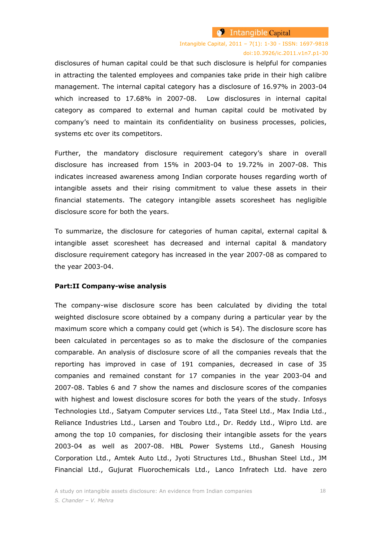disclosures of human capital could be that such disclosure is helpful for companies in attracting the talented employees and companies take pride in their high calibre management. The internal capital category has a disclosure of 16.97% in 2003-04 which increased to 17.68% in 2007-08. Low disclosures in internal capital category as compared to external and human capital could be motivated by company"s need to maintain its confidentiality on business processes, policies, systems etc over its competitors.

Further, the mandatory disclosure requirement category's share in overall disclosure has increased from 15% in 2003-04 to 19.72% in 2007-08. This indicates increased awareness among Indian corporate houses regarding worth of intangible assets and their rising commitment to value these assets in their financial statements. The category intangible assets scoresheet has negligible disclosure score for both the years.

To summarize, the disclosure for categories of human capital, external capital & intangible asset scoresheet has decreased and internal capital & mandatory disclosure requirement category has increased in the year 2007-08 as compared to the year 2003-04.

#### **Part:II Company-wise analysis**

The company-wise disclosure score has been calculated by dividing the total weighted disclosure score obtained by a company during a particular year by the maximum score which a company could get (which is 54). The disclosure score has been calculated in percentages so as to make the disclosure of the companies comparable. An analysis of disclosure score of all the companies reveals that the reporting has improved in case of 191 companies, decreased in case of 35 companies and remained constant for 17 companies in the year 2003-04 and 2007-08. Tables 6 and 7 show the names and disclosure scores of the companies with highest and lowest disclosure scores for both the years of the study. Infosys Technologies Ltd., Satyam Computer services Ltd., Tata Steel Ltd., Max India Ltd., Reliance Industries Ltd., Larsen and Toubro Ltd., Dr. Reddy Ltd., Wipro Ltd. are among the top 10 companies, for disclosing their intangible assets for the years 2003-04 as well as 2007-08. HBL Power Systems Ltd., Ganesh Housing Corporation Ltd., Amtek Auto Ltd., Jyoti Structures Ltd., Bhushan Steel Ltd., JM Financial Ltd., Gujurat Fluorochemicals Ltd., Lanco Infratech Ltd. have zero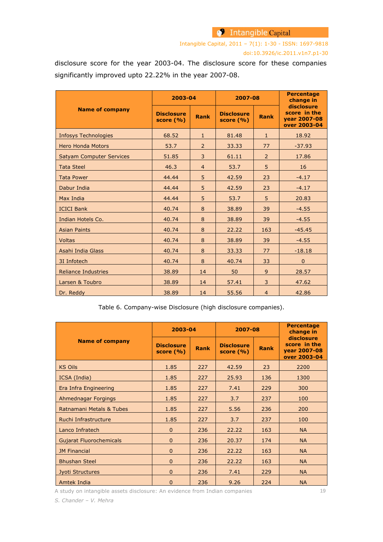# <sup>9</sup> Intangible Capital

Intangible Capital, 2011 – 7(1): 1-30 - ISSN: 1697-9818 doi:10.3926/ic.2011.v1n7.p1-30

disclosure score for the year 2003-04. The disclosure score for these companies significantly improved upto 22.22% in the year 2007-08.

|                                 | 2003-04                           |                | 2007-08                           | <b>Percentage</b><br>change in |                                                            |
|---------------------------------|-----------------------------------|----------------|-----------------------------------|--------------------------------|------------------------------------------------------------|
| <b>Name of company</b>          | <b>Disclosure</b><br>score $(% )$ | <b>Rank</b>    | <b>Disclosure</b><br>score $(% )$ | <b>Rank</b>                    | disclosure<br>score in the<br>vear 2007-08<br>over 2003-04 |
| <b>Infosys Technologies</b>     | 68.52                             | $\mathbf{1}$   | 81.48                             | $\mathbf{1}$                   | 18.92                                                      |
| <b>Hero Honda Motors</b>        | 53.7                              | $\overline{2}$ | 33.33                             | 77                             | $-37.93$                                                   |
| <b>Satyam Computer Services</b> | 51.85                             | 3              | 61.11                             | 2                              | 17.86                                                      |
| <b>Tata Steel</b>               | 46.3                              | $\overline{4}$ | 53.7                              | 5                              | 16                                                         |
| <b>Tata Power</b>               | 44.44                             | 5              | 42.59                             | 23                             | $-4.17$                                                    |
| Dabur India                     | 44.44                             | 5              | 42.59                             | 23                             | $-4.17$                                                    |
| Max India                       | 44.44                             | 5              | 53.7                              | 5                              | 20.83                                                      |
| <b>ICICI Bank</b>               | 40.74                             | 8              | 38.89                             | 39                             | $-4.55$                                                    |
| Indian Hotels Co.               | 40.74                             | 8              | 38.89                             | 39                             | $-4.55$                                                    |
| <b>Asian Paints</b>             | 40.74                             | 8              | 22.22                             | 163                            | $-45.45$                                                   |
| <b>Voltas</b>                   | 40.74                             | 8              | 38.89                             | 39                             | $-4.55$                                                    |
| Asahi India Glass               | 40.74                             | 8              | 33.33                             | 77                             | $-18.18$                                                   |
| 3I Infotech                     | 40.74                             | 8              | 40.74                             | 33                             | $\mathbf{0}$                                               |
| <b>Reliance Industries</b>      | 38.89                             | 14             | 50                                | 9                              | 28.57                                                      |
| Larsen & Toubro                 | 38.89                             | 14             | 57.41                             | 3                              | 47.62                                                      |
| Dr. Reddy                       | 38.89                             | 14             | 55.56                             | $\overline{4}$                 | 42.86                                                      |

Table 6. Company-wise Disclosure (high disclosure companies).

|                                | 2003-04                            |             | 2007-08                       |             | <b>Percentage</b><br>change in                             |  |
|--------------------------------|------------------------------------|-------------|-------------------------------|-------------|------------------------------------------------------------|--|
| <b>Name of company</b>         | <b>Disclosure</b><br>score $(\% )$ | <b>Rank</b> | <b>Disclosure</b><br>score(%) | <b>Rank</b> | disclosure<br>score in the<br>year 2007-08<br>over 2003-04 |  |
| <b>KS Oils</b>                 | 1.85                               | 227         | 42.59                         | 23          | 2200                                                       |  |
| ICSA (India)                   | 1.85                               | 227         | 25.93                         | 136         | 1300                                                       |  |
| Era Infra Engineering          | 1.85                               | 227         | 7.41                          | 229         | 300                                                        |  |
| Ahmednagar Forgings            | 1.85                               | 227         | 3.7                           | 237         | 100                                                        |  |
| Ratnamani Metals & Tubes       | 1.85                               | 227         | 5.56                          | 236         | 200                                                        |  |
| Ruchi Infrastructure           | 1.85                               | 227         | 3.7                           | 237         | 100                                                        |  |
| Lanco Infratech                | $\Omega$                           | 236         | 22.22                         | 163         | <b>NA</b>                                                  |  |
| <b>Gujarat Fluorochemicals</b> | $\mathbf{0}$                       | 236         | 20.37                         | 174         | <b>NA</b>                                                  |  |
| <b>JM Financial</b>            | $\Omega$                           | 236         | 22.22                         | 163         | <b>NA</b>                                                  |  |
| <b>Bhushan Steel</b>           | $\Omega$                           | 236         | 22.22                         | 163         | <b>NA</b>                                                  |  |
| Jyoti Structures               | $\mathbf{0}$                       | 236         | 7.41                          | 229         | <b>NA</b>                                                  |  |
| Amtek India                    | $\Omega$                           | 236         | 9.26                          | 224         | <b>NA</b>                                                  |  |

A study on intangible assets disclosure: An evidence from Indian companies 19

*S. Chander – V. Mehra*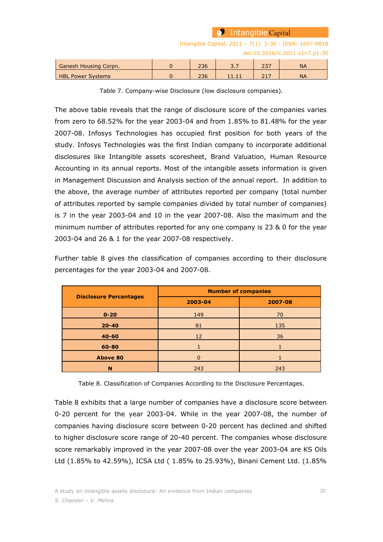|                              |     | $\bullet$ Intangible Capital |     |                                                         |
|------------------------------|-----|------------------------------|-----|---------------------------------------------------------|
|                              |     |                              |     | Intangible Capital, 2011 - 7(1): 1-30 - ISSN: 1697-9818 |
|                              |     |                              |     | doi:10.3926/ic.2011.v1n7.p1-30                          |
| <b>Ganesh Housing Corpn.</b> | 236 | 3.7                          | 237 | <b>NA</b>                                               |
| <b>HBL Power Systems</b>     | 236 | 11.11                        | 217 | <b>NA</b>                                               |

Table 7. Company-wise Disclosure (low disclosure companies).

The above table reveals that the range of disclosure score of the companies varies from zero to 68.52% for the year 2003-04 and from 1.85% to 81.48% for the year 2007-08. Infosys Technologies has occupied first position for both years of the study. Infosys Technologies was the first Indian company to incorporate additional disclosures like Intangible assets scoresheet, Brand Valuation, Human Resource Accounting in its annual reports. Most of the intangible assets information is given in Management Discussion and Analysis section of the annual report. In addition to the above, the average number of attributes reported per company (total number of attributes reported by sample companies divided by total number of companies) is 7 in the year 2003-04 and 10 in the year 2007-08. Also the maximum and the minimum number of attributes reported for any one company is 23 & 0 for the year 2003-04 and 26 & 1 for the year 2007-08 respectively.

Further table 8 gives the classification of companies according to their disclosure percentages for the year 2003-04 and 2007-08.

|                               | <b>Number of companies</b> |         |  |  |  |
|-------------------------------|----------------------------|---------|--|--|--|
| <b>Disclosure Percentages</b> | 2003-04                    | 2007-08 |  |  |  |
| $0 - 20$                      | 149                        | 70      |  |  |  |
| $20 - 40$                     | 81                         | 135     |  |  |  |
| $40 - 60$                     | $12 \overline{ }$          | 36      |  |  |  |
| 60-80                         |                            |         |  |  |  |
| <b>Above 80</b>               |                            |         |  |  |  |
| N                             | 243                        | 243     |  |  |  |

Table 8. Classification of Companies According to the Disclosure Percentages.

Table 8 exhibits that a large number of companies have a disclosure score between 0-20 percent for the year 2003-04. While in the year 2007-08, the number of companies having disclosure score between 0-20 percent has declined and shifted to higher disclosure score range of 20-40 percent. The companies whose disclosure score remarkably improved in the year 2007-08 over the year 2003-04 are KS Oils Ltd (1.85% to 42.59%), ICSA Ltd ( 1.85% to 25.93%), Binani Cement Ltd. (1.85%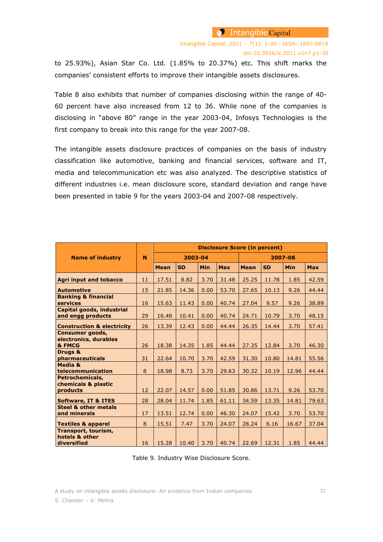Intangible Capital, 2011 – 7(1): 1-30 - ISSN: 1697-9818 doi:10.3926/ic.2011.v1n7.p1-30

to 25.93%), Asian Star Co. Ltd. (1.85% to 20.37%) etc. This shift marks the companies' consistent efforts to improve their intangible assets disclosures.

Table 8 also exhibits that number of companies disclosing within the range of 40- 60 percent have also increased from 12 to 36. While none of the companies is disclosing in "above 80" range in the year 2003-04, Infosys Technologies is the first company to break into this range for the year 2007-08.

The intangible assets disclosure practices of companies on the basis of industry classification like automotive, banking and financial services, software and IT, media and telecommunication etc was also analyzed. The descriptive statistics of different industries i.e. mean disclosure score, standard deviation and range have been presented in table 9 for the years 2003-04 and 2007-08 respectively.

|                                                           | N  | <b>Disclosure Score (in percent)</b> |           |            |            |             |           |            |            |
|-----------------------------------------------------------|----|--------------------------------------|-----------|------------|------------|-------------|-----------|------------|------------|
| <b>Name of industry</b>                                   |    | 2003-04                              |           |            | 2007-08    |             |           |            |            |
|                                                           |    | <b>Mean</b>                          | <b>SD</b> | <b>Min</b> | <b>Max</b> | <b>Mean</b> | <b>SD</b> | <b>Min</b> | <b>Max</b> |
| <b>Agri input and tobacco</b>                             | 11 | 17.51                                | 8.82      | 3.70       | 31.48      | 25.25       | 11.78     | 1.85       | 42.59      |
| <b>Automotive</b>                                         | 15 | 21.85                                | 14.36     | 0.00       | 53.70      | 27.65       | 10.13     | 9.26       | 44.44      |
| <b>Banking &amp; financial</b><br>services                | 16 | 15.63                                | 11.43     | 0.00       | 40.74      | 27.04       | 9.57      | 9.26       | 38.89      |
| Capital goods, industrial<br>and engg products            | 29 | 16.48                                | 10.41     | 0.00       | 40.74      | 24.71       | 10.79     | 3.70       | 48.15      |
| <b>Construction &amp; electricity</b>                     | 26 | 13.39                                | 12.43     | 0.00       | 44.44      | 26.35       | 14.44     | 3.70       | 57.41      |
| <b>Consumer goods,</b><br>electronics, durables<br>& FMCG | 26 | 18.38                                | 14.35     | 1.85       | 44.44      | 27.35       | 12.84     | 3.70       | 46.30      |
| Drugs &<br>pharmaceuticals                                | 31 | 22.64                                | 10.70     | 3.70       | 42.59      | 31.30       | 10.80     | 14.81      | 55.56      |
| Media &<br>telecommunication                              | 8  | 18.98                                | 8.73      | 3.70       | 29.63      | 30.32       | 10.19     | 12.96      | 44.44      |
| Petrochemicals,<br>chemicals & plastic<br>products        | 12 | 22.07                                | 14.57     | 0.00       | 51.85      | 30.86       | 13.71     | 9.26       | 53.70      |
| <b>Software, IT &amp; ITES</b>                            | 28 | 28.04                                | 11.74     | 1.85       | 61.11      | 34.59       | 13.35     | 14.81      | 79.63      |
| <b>Steel &amp; other metals</b><br>and minerals           | 17 | 13.51                                | 12.74     | 0.00       | 46.30      | 24.07       | 15.42     | 3.70       | 53.70      |
| <b>Textiles &amp; apparel</b>                             | 8  | 15.51                                | 7.47      | 3.70       | 24.07      | 28.24       | 6.16      | 16.67      | 37.04      |
| Transport, tourism,<br>hotels & other<br>diversified      | 16 | 15.28                                | 10.40     | 3.70       | 40.74      | 22.69       | 12.31     | 1.85       | 44.44      |

Table 9. Industry Wise Disclosure Score.

A study on intangible assets disclosure: An evidence from Indian companies 21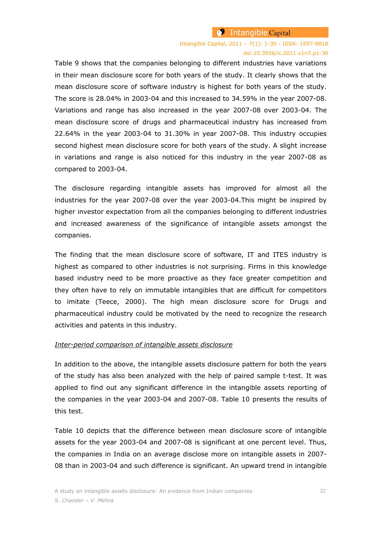### Intangible Capital, 2011 – 7(1): 1-30 - ISSN: 1697-9818 doi:10.3926/ic.2011.v1n7.p1-30

Table 9 shows that the companies belonging to different industries have variations in their mean disclosure score for both years of the study. It clearly shows that the mean disclosure score of software industry is highest for both years of the study. The score is 28.04% in 2003-04 and this increased to 34.59% in the year 2007-08. Variations and range has also increased in the year 2007-08 over 2003-04. The mean disclosure score of drugs and pharmaceutical industry has increased from 22.64% in the year 2003-04 to 31.30% in year 2007-08. This industry occupies second highest mean disclosure score for both years of the study. A slight increase in variations and range is also noticed for this industry in the year 2007-08 as compared to 2003-04.

The disclosure regarding intangible assets has improved for almost all the industries for the year 2007-08 over the year 2003-04.This might be inspired by higher investor expectation from all the companies belonging to different industries and increased awareness of the significance of intangible assets amongst the companies.

The finding that the mean disclosure score of software, IT and ITES industry is highest as compared to other industries is not surprising. Firms in this knowledge based industry need to be more proactive as they face greater competition and they often have to rely on immutable intangibles that are difficult for competitors to imitate (Teece, 2000). The high mean disclosure score for Drugs and pharmaceutical industry could be motivated by the need to recognize the research activities and patents in this industry.

#### *Inter-period comparison of intangible assets disclosure*

In addition to the above, the intangible assets disclosure pattern for both the years of the study has also been analyzed with the help of paired sample t-test. It was applied to find out any significant difference in the intangible assets reporting of the companies in the year 2003-04 and 2007-08. Table 10 presents the results of this test.

Table 10 depicts that the difference between mean disclosure score of intangible assets for the year 2003-04 and 2007-08 is significant at one percent level. Thus, the companies in India on an average disclose more on intangible assets in 2007- 08 than in 2003-04 and such difference is significant. An upward trend in intangible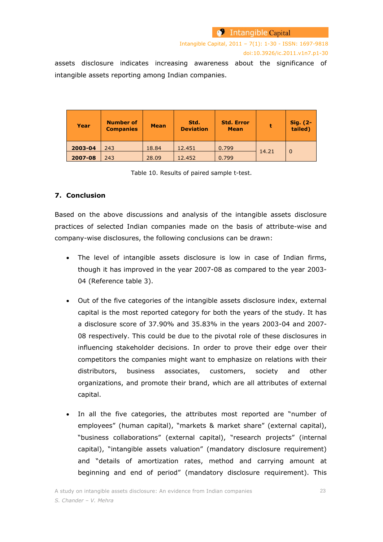Intangible Capital, 2011 – 7(1): 1-30 - ISSN: 1697-9818 doi:10.3926/ic.2011.v1n7.p1-30

assets disclosure indicates increasing awareness about the significance of intangible assets reporting among Indian companies.

| Year    | <b>Number of</b><br><b>Companies</b> | <b>Mean</b> | Std.<br><b>Deviation</b> | <b>Std. Error</b><br><b>Mean</b> |       | Sig. (2-<br>tailed) |
|---------|--------------------------------------|-------------|--------------------------|----------------------------------|-------|---------------------|
| 2003-04 | 243                                  | 18.84       | 12.451                   | 0.799                            | 14.21 | $\Omega$            |
| 2007-08 | 243                                  | 28.09       | 12.452                   | 0.799                            |       |                     |

Table 10. Results of paired sample t-test.

### **7. Conclusion**

Based on the above discussions and analysis of the intangible assets disclosure practices of selected Indian companies made on the basis of attribute-wise and company-wise disclosures, the following conclusions can be drawn:

- The level of intangible assets disclosure is low in case of Indian firms, though it has improved in the year 2007-08 as compared to the year 2003- 04 (Reference table 3).
- Out of the five categories of the intangible assets disclosure index, external capital is the most reported category for both the years of the study. It has a disclosure score of 37.90% and 35.83% in the years 2003-04 and 2007- 08 respectively. This could be due to the pivotal role of these disclosures in influencing stakeholder decisions. In order to prove their edge over their competitors the companies might want to emphasize on relations with their distributors, business associates, customers, society and other organizations, and promote their brand, which are all attributes of external capital.
- In all the five categories, the attributes most reported are "number of employees" (human capital), "markets & market share" (external capital), "business collaborations" (external capital), "research projects" (internal capital), "intangible assets valuation" (mandatory disclosure requirement) and "details of amortization rates, method and carrying amount at beginning and end of period" (mandatory disclosure requirement). This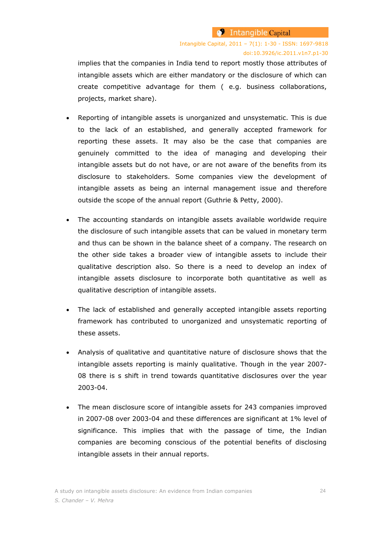implies that the companies in India tend to report mostly those attributes of intangible assets which are either mandatory or the disclosure of which can create competitive advantage for them ( e.g. business collaborations, projects, market share).

- Reporting of intangible assets is unorganized and unsystematic. This is due to the lack of an established, and generally accepted framework for reporting these assets. It may also be the case that companies are genuinely committed to the idea of managing and developing their intangible assets but do not have, or are not aware of the benefits from its disclosure to stakeholders. Some companies view the development of intangible assets as being an internal management issue and therefore outside the scope of the annual report (Guthrie & Petty, 2000).
- The accounting standards on intangible assets available worldwide require the disclosure of such intangible assets that can be valued in monetary term and thus can be shown in the balance sheet of a company. The research on the other side takes a broader view of intangible assets to include their qualitative description also. So there is a need to develop an index of intangible assets disclosure to incorporate both quantitative as well as qualitative description of intangible assets.
- The lack of established and generally accepted intangible assets reporting framework has contributed to unorganized and unsystematic reporting of these assets.
- Analysis of qualitative and quantitative nature of disclosure shows that the intangible assets reporting is mainly qualitative. Though in the year 2007- 08 there is s shift in trend towards quantitative disclosures over the year 2003-04.
- The mean disclosure score of intangible assets for 243 companies improved in 2007-08 over 2003-04 and these differences are significant at 1% level of significance. This implies that with the passage of time, the Indian companies are becoming conscious of the potential benefits of disclosing intangible assets in their annual reports.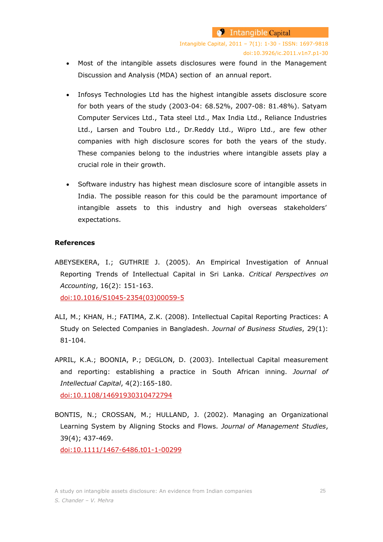- Most of the intangible assets disclosures were found in the Management Discussion and Analysis (MDA) section of an annual report.
- Infosys Technologies Ltd has the highest intangible assets disclosure score for both years of the study (2003-04: 68.52%, 2007-08: 81.48%). Satyam Computer Services Ltd., Tata steel Ltd., Max India Ltd., Reliance Industries Ltd., Larsen and Toubro Ltd., Dr.Reddy Ltd., Wipro Ltd., are few other companies with high disclosure scores for both the years of the study. These companies belong to the industries where intangible assets play a crucial role in their growth.
- Software industry has highest mean disclosure score of intangible assets in India. The possible reason for this could be the paramount importance of intangible assets to this industry and high overseas stakeholders' expectations.

### **References**

ABEYSEKERA, I.; GUTHRIE J. (2005). An Empirical Investigation of Annual Reporting Trends of Intellectual Capital in Sri Lanka. *Critical Perspectives on Accounting*, 16(2): 151-163.

[doi:10.1016/S1045-2354\(03\)00059-5](http://dx.doi.org/10.1016/S1045-2354(03)00059-5)

- ALI, M.; KHAN, H.; FATIMA, Z.K. (2008). Intellectual Capital Reporting Practices: A Study on Selected Companies in Bangladesh. *Journal of Business Studies*, 29(1): 81-104.
- APRIL, K.A.; BOONIA, P.; DEGLON, D. (2003). Intellectual Capital measurement and reporting: establishing a practice in South African inning. *Journal of Intellectual Capital*, 4(2):165-180.

[doi:10.1108/14691930310472794](http://dx.doi.org/10.1108/14691930310472794)

BONTIS, N.; CROSSAN, M.; HULLAND, J. (2002). Managing an Organizational Learning System by Aligning Stocks and Flows. *Journal of Management Studies*, 39(4); 437-469.

[doi:10.1111/1467-6486.t01-1-00299](http://dx.doi.org/10.1111/1467-6486.t01-1-00299)

A study on intangible assets disclosure: An evidence from Indian companies 25 *S. Chander – V. Mehra*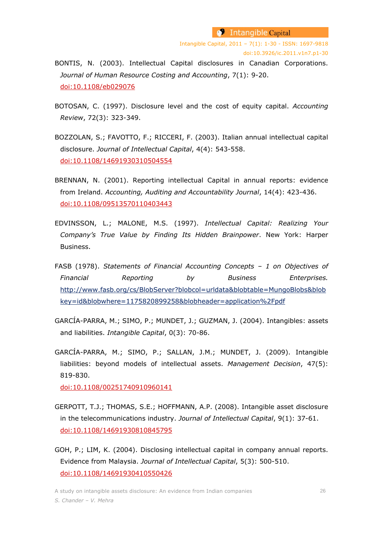- BONTIS, N. (2003). Intellectual Capital disclosures in Canadian Corporations. *Journal of Human Resource Costing and Accounting*, 7(1): 9-20. [doi:10.1108/eb029076](http://dx.doi.org/10.1108/eb029076)
- BOTOSAN, C. (1997). Disclosure level and the cost of equity capital. *Accounting Review*, 72(3): 323-349.
- BOZZOLAN, S.; FAVOTTO, F.; RICCERI, F. (2003). Italian annual intellectual capital disclosure. *Journal of Intellectual Capital*, 4(4): 543-558. [doi:10.1108/14691930310504554](http://dx.doi.org/10.1108/14691930310504554)
- BRENNAN, N. (2001). Reporting intellectual Capital in annual reports: evidence from Ireland. *Accounting, Auditing and Accountability Journal*, 14(4): 423-436. [doi:10.1108/09513570110403443](http://dx.doi.org/10.1108/09513570110403443)
- EDVINSSON, L.; MALONE, M.S. (1997). *Intellectual Capital: Realizing Your Company's True Value by Finding Its Hidden Brainpower*. New York: Harper Business.
- FASB (1978). *Statements of Financial Accounting Concepts – 1 on Objectives of Financial Reporting by Business Enterprises.* http://www.fasb.org/cs/BlobServer?blobcol=urldata&blobtable=MungoBlobs&blob key=id&blobwhere=1175820899258&blobheader=application%2Fpdf
- GARCÍA-PARRA, M.; SIMO, P.; MUNDET, J.; GUZMAN, J. (2004). Intangibles: assets and liabilities. *Intangible Capital*, 0(3): 70-86.
- GARCÍA-PARRA, M.; SIMO, P.; SALLAN, J.M.; MUNDET, J. (2009). Intangible liabilities: beyond models of intellectual assets. *Management Decision*, 47(5): 819-830.

[doi:10.1108/00251740910960141](http://dx.doi.org/10.1108/00251740910960141)

- GERPOTT, T.J.; THOMAS, S.E.; HOFFMANN, A.P. (2008). Intangible asset disclosure in the telecommunications industry. *Journal of Intellectual Capital*, 9(1): 37-61. [doi:10.1108/14691930810845795](http://dx.doi.org/10.1108/14691930810845795)
- GOH, P.; LIM, K. (2004). Disclosing intellectual capital in company annual reports. Evidence from Malaysia. *Journal of Intellectual Capital*, 5(3): 500-510. [doi:10.1108/14691930410550426](http://dx.doi.org/10.1108/14691930410550426)

A study on intangible assets disclosure: An evidence from Indian companies 26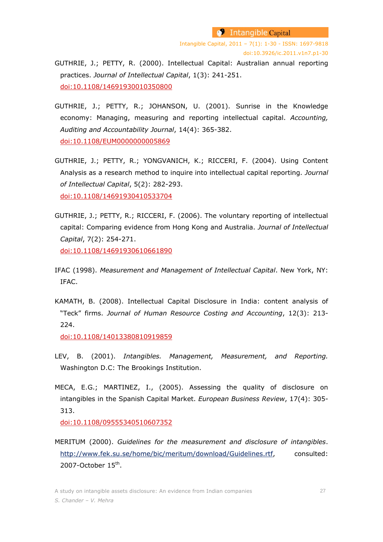Intangible Capital, 2011 – 7(1): 1-30 - ISSN: 1697-9818 doi:10.3926/ic.2011.v1n7.p1-30

GUTHRIE, J.; PETTY, R. (2000). Intellectual Capital: Australian annual reporting practices. *Journal of Intellectual Capital*, 1(3): 241-251. [doi:10.1108/14691930010350800](http://dx.doi.org/10.1108/14691930010350800)

- GUTHRIE, J.; PETTY, R.; JOHANSON, U. (2001). Sunrise in the Knowledge economy: Managing, measuring and reporting intellectual capital. *Accounting, Auditing and Accountability Journal*, 14(4): 365-382. [doi:10.1108/EUM0000000005869](http://dx.doi.org/10.1108/EUM0000000005869)
- GUTHRIE, J.; PETTY, R.; YONGVANICH, K.; RICCERI, F. (2004). Using Content Analysis as a research method to inquire into intellectual capital reporting. *Journal of Intellectual Capital*, 5(2): 282-293. [doi:10.1108/14691930410533704](http://dx.doi.org/10.1108/14691930410533704)
- GUTHRIE, J.; PETTY, R.; RICCERI, F. (2006). The voluntary reporting of intellectual capital: Comparing evidence from Hong Kong and Australia. *Journal of Intellectual Capital*, 7(2): 254-271. [doi:10.1108/14691930610661890](http://dx.doi.org/10.1108/14691930610661890)
- IFAC (1998). *Measurement and Management of Intellectual Capital*. New York, NY: IFAC.
- KAMATH, B. (2008). Intellectual Capital Disclosure in India: content analysis of "Teck" firms. *Journal of Human Resource Costing and Accounting*, 12(3): 213- 224.

[doi:10.1108/14013380810919859](http://dx.doi.org/10.1108/14013380810919859)

- LEV, B. (2001). *Intangibles. Management, Measurement, and Reporting.* Washington D.C: The Brookings Institution.
- MECA, E.G.; MARTINEZ, I., (2005). Assessing the quality of disclosure on intangibles in the Spanish Capital Market. *European Business Review*, 17(4): 305- 313.

[doi:10.1108/09555340510607352](http://dx.doi.org/10.1108/09555340510607352)

MERITUM (2000). *Guidelines for the measurement and disclosure of intangibles*. [http://www.fek.su.se/home/bic/meritum/download/Guidelines.rtf,](http://www.fek.su.se/home/bic/meritum/download/Guidelines.rtf) consulted: 2007-October 15<sup>th</sup>.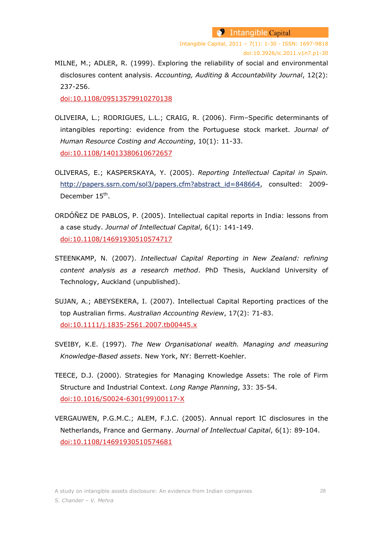Intangible Capital, 2011 – 7(1): 1-30 - ISSN: 1697-9818 doi:10.3926/ic.2011.v1n7.p1-30

MILNE, M.; ADLER, R. (1999). Exploring the reliability of social and environmental disclosures content analysis. *Accounting, Auditing & Accountability Journal*, 12(2): 237-256.

[doi:10.1108/09513579910270138](http://dx.doi.org/10.1108/09513579910270138)

- OLIVEIRA, L.; RODRIGUES, L.L.; CRAIG, R. (2006). Firm–Specific determinants of intangibles reporting: evidence from the Portuguese stock market. *Journal of Human Resource Costing and Accounting*, 10(1): 11-33. [doi:10.1108/14013380610672657](http://dx.doi.org/10.1108/14013380610672657)
- OLIVERAS, E.; KASPERSKAYA, Y. (2005). *Reporting Intellectual Capital in Spain.* [http://papers.ssrn.com/sol3/papers.cfm?abstract\\_id=848664,](http://papers.ssrn.com/sol3/papers.cfm?abstract_id=848664) consulted: 2009-December 15<sup>th</sup>.
- ORDÓÑEZ DE PABLOS, P. (2005). Intellectual capital reports in India: lessons from a case study. *Journal of Intellectual Capital*, 6(1): 141-149. [doi:10.1108/14691930510574717](http://dx.doi.org/10.1108/14691930510574717)
- STEENKAMP, N. (2007). *Intellectual Capital Reporting in New Zealand: refining content analysis as a research method*. PhD Thesis, Auckland University of Technology, Auckland (unpublished).
- SUJAN, A.; ABEYSEKERA, I. (2007). Intellectual Capital Reporting practices of the top Australian firms. *Australian Accounting Review*, 17(2): 71-83. [doi:10.1111/j.1835-2561.2007.tb00445.x](http://dx.doi.org/10.1111/j.1835-2561.2007.tb00445.x)
- SVEIBY, K.E. (1997). *The New Organisational wealth. Managing and measuring Knowledge-Based assets*. New York, NY: Berrett-Koehler.
- TEECE, D.J. (2000). Strategies for Managing Knowledge Assets: The role of Firm Structure and Industrial Context. *Long Range Planning*, 33: 35-54. [doi:10.1016/S0024-6301\(99\)00117-X](http://dx.doi.org/10.1016/S0024-6301(99)00117-X)
- VERGAUWEN, P.G.M.C.; ALEM, F.J.C. (2005). Annual report IC disclosures in the Netherlands, France and Germany. *Journal of Intellectual Capital*, 6(1): 89-104. [doi:10.1108/14691930510574681](http://dx.doi.org/10.1108/14691930510574681)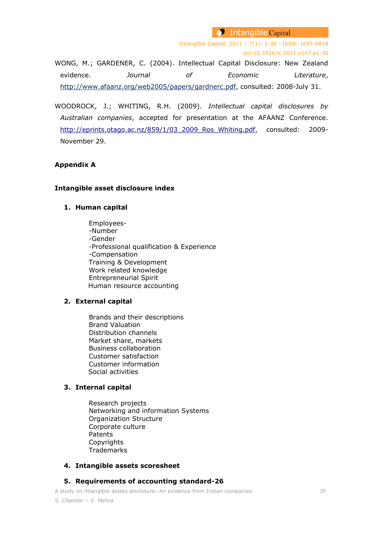Intangible Capital, 2011 – 7(1): 1-30 - ISSN: 1697-9818 doi:10.3926/ic.2011.v1n7.p1-30 WONG, M.; GARDENER, C. (2004). Intellectual Capital Disclosure: New Zealand

evidence. *Journal of Economic Literature*, [http://www.afaanz.org/web2005/papers/gardnerc.pdf,](http://www.afaanz.org/web2005/papers/gardnerc.pdf) consulted: 2008-July 31.

WOODROCK, J.; WHITING, R.H. (2009). *Intellectual capital disclosures by Australian companies*, accepted for presentation at the AFAANZ Conference. [http://eprints.otago.ac.nz/859/1/03\\_2009\\_Ros\\_Whiting.pdf,](http://eprints.otago.ac.nz/859/1/03_2009_Ros_Whiting.pdf) consulted: 2009-November 29.

# **Appendix A**

### **Intangible asset disclosure index**

# **1. Human capital**

Employees- -Number -Gender -Professional qualification & Experience -Compensation Training & Development Work related knowledge Entrepreneurial Spirit Human resource accounting

# **2. External capital**

Brands and their descriptions Brand Valuation Distribution channels Market share, markets Business collaboration Customer satisfaction Customer information Social activities

# **3. Internal capital**

Research projects Networking and information Systems Organization Structure Corporate culture Patents Copyrights **Trademarks** 

# **4. Intangible assets scoresheet**

# **5. Requirements of accounting standard-26**

A study on intangible assets disclosure: An evidence from Indian companies 29 *S. Chander – V. Mehra*